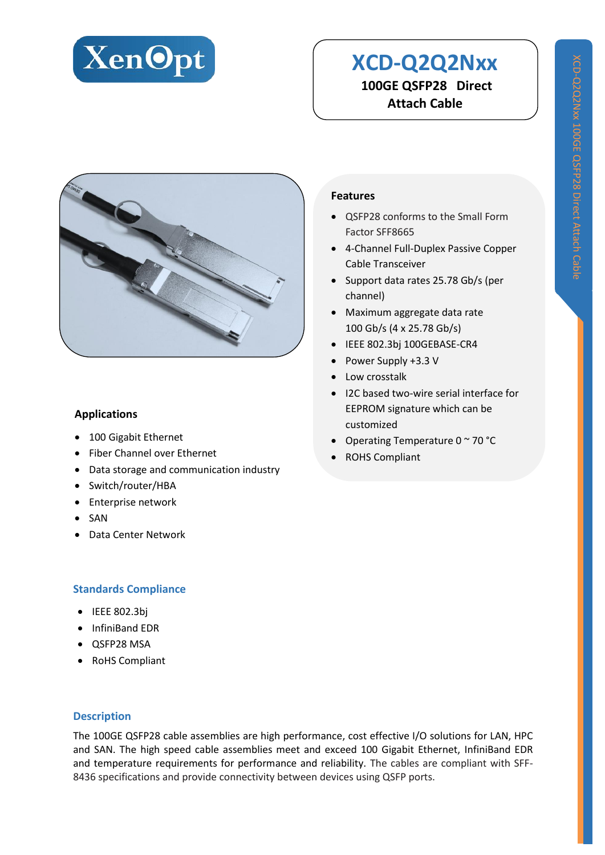

# **XCD-Q2Q2Nxx 100GE QSFP28 Direct Attach Cable**



#### **Applications**

- 100 Gigabit Ethernet
- Fiber Channel over Ethernet
- Data storage and communication industry
- Switch/router/HBA
- **•** Enterprise network
- SAN
- Data Center Network

#### **Standards Compliance**

- $\bullet$  IEEE 802.3bj
- InfiniBand EDR
- QSFP28 MSA
- RoHS Compliant

#### **Description**

The 100GE QSFP28 cable assemblies are high performance, cost effective I/O solutions for LAN, HPC and SAN. The high speed cable assemblies meet and exceed 100 Gigabit Ethernet, InfiniBand EDR and temperature requirements for performance and reliability. The cables are compliant with SFF-8436 specifications and provide connectivity between devices using QSFP ports.

#### **Features**

- QSFP28 conforms to the Small Form Factor SFF8665
- 4-Channel Full-Duplex Passive Copper Cable Transceiver
- Support data rates 25.78 Gb/s (per channel)
- Maximum aggregate data rate 100 Gb/s (4 x 25.78 Gb/s)
- IEEE 802.3bj 100GEBASE-CR4
- Power Supply +3.3 V
- Low crosstalk
- I2C based two-wire serial interface for EEPROM signature which can be customized
- Operating Temperature  $0 \sim 70$  °C
- ROHS Compliant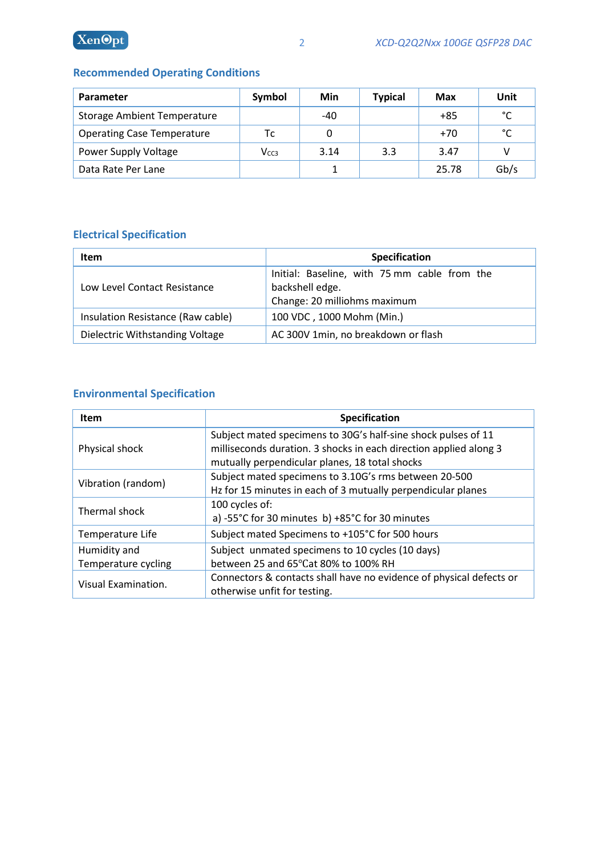### **Recommended Operating Conditions**

| Parameter                          | Symbol           | Min  | <b>Typical</b> | Max   | Unit |
|------------------------------------|------------------|------|----------------|-------|------|
| <b>Storage Ambient Temperature</b> |                  | -40  |                | $+85$ | °C   |
| <b>Operating Case Temperature</b>  | Тc               |      |                | $+70$ | °C   |
| Power Supply Voltage               | V <sub>CC3</sub> | 3.14 | 3.3            | 3.47  |      |
| Data Rate Per Lane                 |                  |      |                | 25.78 | Gb/s |

## **Electrical Specification**

| <b>Item</b>                       | Specification                                                                                   |  |  |
|-----------------------------------|-------------------------------------------------------------------------------------------------|--|--|
| Low Level Contact Resistance      | Initial: Baseline, with 75 mm cable from the<br>backshell edge.<br>Change: 20 milliohms maximum |  |  |
| Insulation Resistance (Raw cable) | 100 VDC, 1000 Mohm (Min.)                                                                       |  |  |
| Dielectric Withstanding Voltage   | AC 300V 1min, no breakdown or flash                                                             |  |  |

## **Environmental Specification**

| <b>Item</b>         | Specification                                                       |  |  |  |
|---------------------|---------------------------------------------------------------------|--|--|--|
|                     | Subject mated specimens to 30G's half-sine shock pulses of 11       |  |  |  |
| Physical shock      | milliseconds duration. 3 shocks in each direction applied along 3   |  |  |  |
|                     | mutually perpendicular planes, 18 total shocks                      |  |  |  |
| Vibration (random)  | Subject mated specimens to 3.10G's rms between 20-500               |  |  |  |
|                     | Hz for 15 minutes in each of 3 mutually perpendicular planes        |  |  |  |
| Thermal shock       | 100 cycles of:                                                      |  |  |  |
|                     | a) -55°C for 30 minutes b) +85°C for 30 minutes                     |  |  |  |
| Temperature Life    | Subject mated Specimens to +105°C for 500 hours                     |  |  |  |
| Humidity and        | Subject unmated specimens to 10 cycles (10 days)                    |  |  |  |
| Temperature cycling | between 25 and 65°Cat 80% to 100% RH                                |  |  |  |
| Visual Examination. | Connectors & contacts shall have no evidence of physical defects or |  |  |  |
|                     | otherwise unfit for testing.                                        |  |  |  |